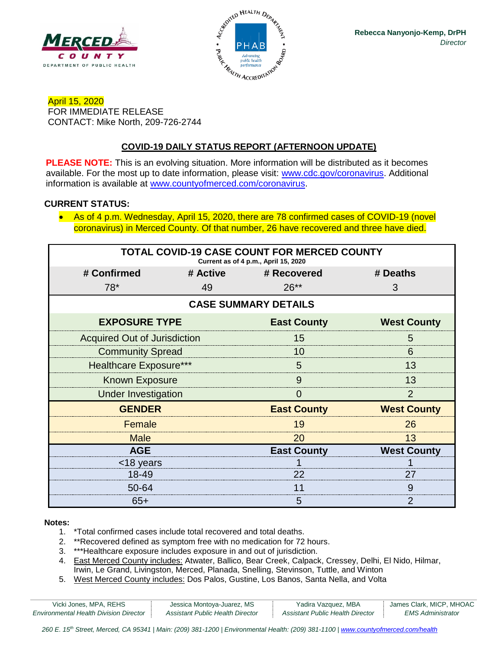



April 15, 2020 FOR IMMEDIATE RELEASE CONTACT: Mike North, 209-726-2744

# **COVID-19 DAILY STATUS REPORT (AFTERNOON UPDATE)**

**PLEASE NOTE:** This is an evolving situation. More information will be distributed as it becomes available. For the most up to date information, please visit: [www.cdc.gov/coronavirus.](http://www.cdc.gov/coronavirus) Additional information is available at [www.countyofmerced.com/coronavirus.](http://www.countyofmerced.com/coronavirus)

#### **CURRENT STATUS:**

• As of 4 p.m. Wednesday, April 15, 2020, there are 78 confirmed cases of COVID-19 (novel coronavirus) in Merced County. Of that number, 26 have recovered and three have died.

| <b>TOTAL COVID-19 CASE COUNT FOR MERCED COUNTY</b><br>Current as of 4 p.m., April 15, 2020 |          |                    |                    |  |  |  |
|--------------------------------------------------------------------------------------------|----------|--------------------|--------------------|--|--|--|
| # Confirmed                                                                                | # Active | # Recovered        | # Deaths           |  |  |  |
| $78*$                                                                                      | 49       | $26**$             | 3                  |  |  |  |
| <b>CASE SUMMARY DETAILS</b>                                                                |          |                    |                    |  |  |  |
| <b>EXPOSURE TYPE</b>                                                                       |          | <b>East County</b> | <b>West County</b> |  |  |  |
| <b>Acquired Out of Jurisdiction</b>                                                        |          | 15                 | 5                  |  |  |  |
| <b>Community Spread</b>                                                                    |          | 10                 | 6                  |  |  |  |
| <b>Healthcare Exposure***</b>                                                              |          | 5                  | 13                 |  |  |  |
| <b>Known Exposure</b>                                                                      |          | 9                  | 13                 |  |  |  |
| <b>Under Investigation</b>                                                                 |          | $\Omega$           | $\overline{2}$     |  |  |  |
| <b>GENDER</b>                                                                              |          | <b>East County</b> | <b>West County</b> |  |  |  |
| Female                                                                                     |          | 19                 | 26                 |  |  |  |
| <b>Male</b>                                                                                |          | 20                 | 13                 |  |  |  |
| <b>AGE</b>                                                                                 |          | <b>East County</b> | <b>West County</b> |  |  |  |
| <18 years                                                                                  |          |                    |                    |  |  |  |
| 18-49                                                                                      |          | 22                 | 27                 |  |  |  |
| 50-64                                                                                      |          | 11                 | 9                  |  |  |  |
| $65+$                                                                                      |          | 5                  | 2                  |  |  |  |

#### **Notes:**

- 1. \*Total confirmed cases include total recovered and total deaths.
- 2. \*\*Recovered defined as symptom free with no medication for 72 hours.
- 3. \*\*\*Healthcare exposure includes exposure in and out of jurisdiction.
- 4. East Merced County includes: Atwater, Ballico, Bear Creek, Calpack, Cressey, Delhi, El Nido, Hilmar, Irwin, Le Grand, Livingston, Merced, Planada, Snelling, Stevinson, Tuttle, and Winton
- 5. West Merced County includes: Dos Palos, Gustine, Los Banos, Santa Nella, and Volta

| Vicki Jones, MPA, REHS                        | Jessica Montoya-Juarez, MS       | Yadira Vazquez, MBA              | James Clark, MICP, MHOAC |
|-----------------------------------------------|----------------------------------|----------------------------------|--------------------------|
| <b>Environmental Health Division Director</b> | Assistant Public Health Director | Assistant Public Health Director | EMS Administrator        |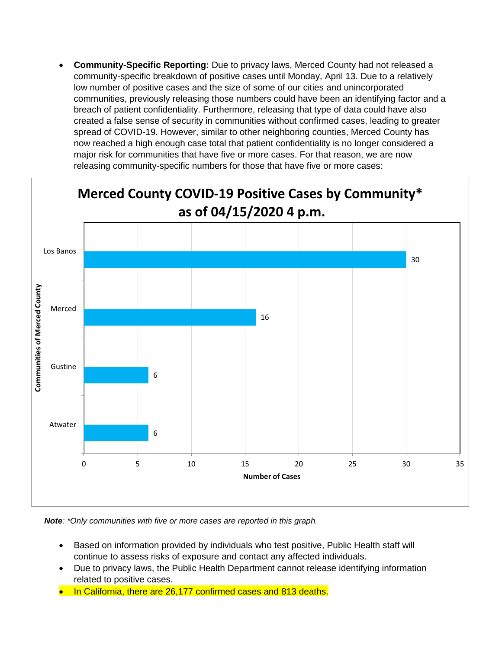• **Community-Specific Reporting:** Due to privacy laws, Merced County had not released a community-specific breakdown of positive cases until Monday, April 13. Due to a relatively low number of positive cases and the size of some of our cities and unincorporated communities, previously releasing those numbers could have been an identifying factor and a breach of patient confidentiality. Furthermore, releasing that type of data could have also created a false sense of security in communities without confirmed cases, leading to greater spread of COVID-19. However, similar to other neighboring counties, Merced County has now reached a high enough case total that patient confidentiality is no longer considered a major risk for communities that have five or more cases. For that reason, we are now releasing community-specific numbers for those that have five or more cases:



*Note: \*Only communities with five or more cases are reported in this graph.*

- Based on information provided by individuals who test positive, Public Health staff will continue to assess risks of exposure and contact any affected individuals.
- Due to privacy laws, the Public Health Department cannot release identifying information related to positive cases.
- In California, there are 26,177 confirmed cases and 813 deaths.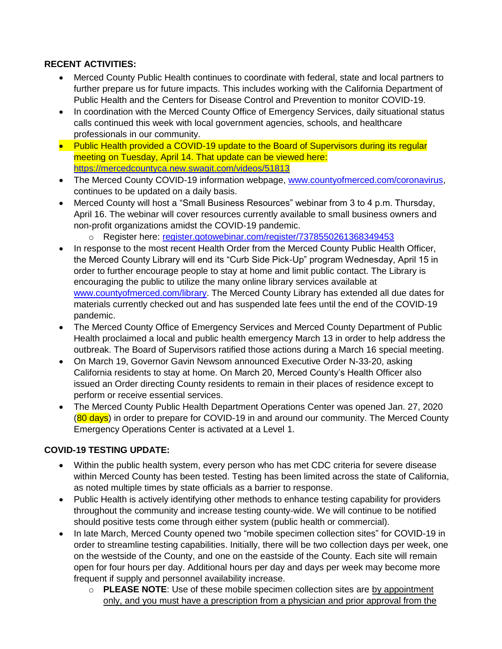#### **RECENT ACTIVITIES:**

- Merced County Public Health continues to coordinate with federal, state and local partners to further prepare us for future impacts. This includes working with the California Department of Public Health and the Centers for Disease Control and Prevention to monitor COVID-19.
- In coordination with the Merced County Office of Emergency Services, daily situational status calls continued this week with local government agencies, schools, and healthcare professionals in our community.
- Public Health provided a COVID-19 update to the Board of Supervisors during its regular meeting on Tuesday, April 14. That update can be viewed here: <https://mercedcountyca.new.swagit.com/videos/51813>
- The Merced County COVID-19 information webpage, [www.countyofmerced.com/coronavirus,](http://www.countyofmerced.com/coronavirus) continues to be updated on a daily basis.
- Merced County will host a "Small Business Resources" webinar from 3 to 4 p.m. Thursday, April 16. The webinar will cover resources currently available to small business owners and non-profit organizations amidst the COVID-19 pandemic.
	- o Register here: [register.gotowebinar.com/register/7378550261368349453](https://register.gotowebinar.com/register/7378550261368349453)
- In response to the most recent Health Order from the Merced County Public Health Officer, the Merced County Library will end its "Curb Side Pick-Up" program Wednesday, April 15 in order to further encourage people to stay at home and limit public contact. The Library is encouraging the public to utilize the many online library services available at [www.countyofmerced.com/library.](http://www.countyofmerced.com/library) The Merced County Library has extended all due dates for materials currently checked out and has suspended late fees until the end of the COVID-19 pandemic.
- The Merced County Office of Emergency Services and Merced County Department of Public Health proclaimed a local and public health emergency March 13 in order to help address the outbreak. The Board of Supervisors ratified those actions during a March 16 special meeting.
- On March 19, Governor Gavin Newsom announced Executive Order N-33-20, asking California residents to stay at home. On March 20, Merced County's Health Officer also issued an Order directing County residents to remain in their places of residence except to perform or receive essential services.
- The Merced County Public Health Department Operations Center was opened Jan. 27, 2020 (80 days) in order to prepare for COVID-19 in and around our community. The Merced County Emergency Operations Center is activated at a Level 1.

### **COVID-19 TESTING UPDATE:**

- Within the public health system, every person who has met CDC criteria for severe disease within Merced County has been tested. Testing has been limited across the state of California, as noted multiple times by state officials as a barrier to response.
- Public Health is actively identifying other methods to enhance testing capability for providers throughout the community and increase testing county-wide. We will continue to be notified should positive tests come through either system (public health or commercial).
- In late March, Merced County opened two "mobile specimen collection sites" for COVID-19 in order to streamline testing capabilities. Initially, there will be two collection days per week, one on the westside of the County, and one on the eastside of the County. Each site will remain open for four hours per day. Additional hours per day and days per week may become more frequent if supply and personnel availability increase.
	- o **PLEASE NOTE**: Use of these mobile specimen collection sites are by appointment only, and you must have a prescription from a physician and prior approval from the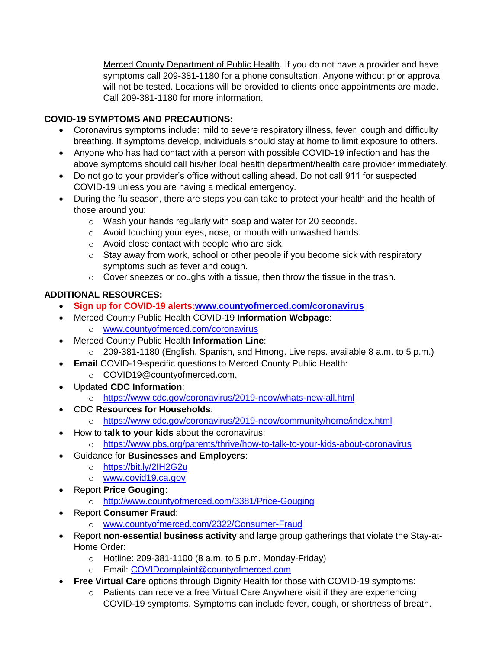Merced County Department of Public Health. If you do not have a provider and have symptoms call 209-381-1180 for a phone consultation. Anyone without prior approval will not be tested. Locations will be provided to clients once appointments are made. Call 209-381-1180 for more information.

# **COVID-19 SYMPTOMS AND PRECAUTIONS:**

- Coronavirus symptoms include: mild to severe respiratory illness, fever, cough and difficulty breathing. If symptoms develop, individuals should stay at home to limit exposure to others.
- Anyone who has had contact with a person with possible COVID-19 infection and has the above symptoms should call his/her local health department/health care provider immediately.
- Do not go to your provider's office without calling ahead. Do not call 911 for suspected COVID-19 unless you are having a medical emergency.
- During the flu season, there are steps you can take to protect your health and the health of those around you:
	- o Wash your hands regularly with soap and water for 20 seconds.
	- o Avoid touching your eyes, nose, or mouth with unwashed hands.
	- o Avoid close contact with people who are sick.
	- o Stay away from work, school or other people if you become sick with respiratory symptoms such as fever and cough.
	- $\circ$  Cover sneezes or coughs with a tissue, then throw the tissue in the trash.

# **ADDITIONAL RESOURCES:**

- **Sign up for COVID-19 alerts[:www.countyofmerced.com/coronavirus](http://www.countyofmerced.com/coronavirus)**
- Merced County Public Health COVID-19 **Information Webpage**: o [www.countyofmerced.com/coronavirus](http://www.countyofmerced.com/coronavirus)
- Merced County Public Health **Information Line**:
	- o 209-381-1180 (English, Spanish, and Hmong. Live reps. available 8 a.m. to 5 p.m.)
- **Email** COVID-19-specific questions to Merced County Public Health:
	- o COVID19@countyofmerced.com.
- Updated **CDC Information**:
	- o <https://www.cdc.gov/coronavirus/2019-ncov/whats-new-all.html>
- CDC **Resources for Households**:
	- o <https://www.cdc.gov/coronavirus/2019-ncov/community/home/index.html>
- How to **talk to your kids** about the coronavirus:
	- o <https://www.pbs.org/parents/thrive/how-to-talk-to-your-kids-about-coronavirus>
- Guidance for **Businesses and Employers**:
	- o <https://bit.ly/2IH2G2u>
	- o [www.covid19.ca.gov](http://www.covid19.ca.gov/)
- Report **Price Gouging**:
	- o <http://www.countyofmerced.com/3381/Price-Gouging>
- Report **Consumer Fraud**:
	- o [www.countyofmerced.com/2322/Consumer-Fraud](http://www.countyofmerced.com/2322/Consumer-Fraud)
- Report **non-essential business activity** and large group gatherings that violate the Stay-at-Home Order:
	- $\circ$  Hotline: 209-381-1100 (8 a.m. to 5 p.m. Monday-Friday)
	- o Email: [COVIDcomplaint@countyofmerced.com](mailto:COVIDcomplaint@countyofmerced.com)
- **Free Virtual Care** options through Dignity Health for those with COVID-19 symptoms:
	- o Patients can receive a free Virtual Care Anywhere visit if they are experiencing COVID-19 symptoms. Symptoms can include fever, cough, or shortness of breath.